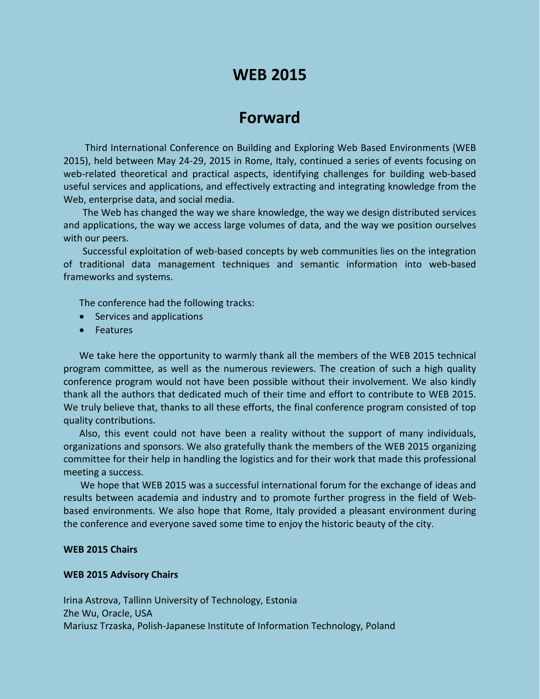## **WEB 2015**

## **Forward**

Third International Conference on Building and Exploring Web Based Environments (WEB 2015), held between May 24-29, 2015 in Rome, Italy, continued a series of events focusing on web-related theoretical and practical aspects, identifying challenges for building web-based useful services and applications, and effectively extracting and integrating knowledge from the Web, enterprise data, and social media.

The Web has changed the way we share knowledge, the way we design distributed services and applications, the way we access large volumes of data, and the way we position ourselves with our peers.

Successful exploitation of web-based concepts by web communities lies on the integration of traditional data management techniques and semantic information into web-based frameworks and systems.

The conference had the following tracks:

- Services and applications
- Features

We take here the opportunity to warmly thank all the members of the WEB 2015 technical program committee, as well as the numerous reviewers. The creation of such a high quality conference program would not have been possible without their involvement. We also kindly thank all the authors that dedicated much of their time and effort to contribute to WEB 2015. We truly believe that, thanks to all these efforts, the final conference program consisted of top quality contributions.

Also, this event could not have been a reality without the support of many individuals, organizations and sponsors. We also gratefully thank the members of the WEB 2015 organizing committee for their help in handling the logistics and for their work that made this professional meeting a success.

We hope that WEB 2015 was a successful international forum for the exchange of ideas and results between academia and industry and to promote further progress in the field of Webbased environments. We also hope that Rome, Italy provided a pleasant environment during the conference and everyone saved some time to enjoy the historic beauty of the city.

## **WEB 2015 Chairs**

## **WEB 2015 Advisory Chairs**

Irina Astrova, Tallinn University of Technology, Estonia Zhe Wu, Oracle, USA Mariusz Trzaska, Polish-Japanese Institute of Information Technology, Poland